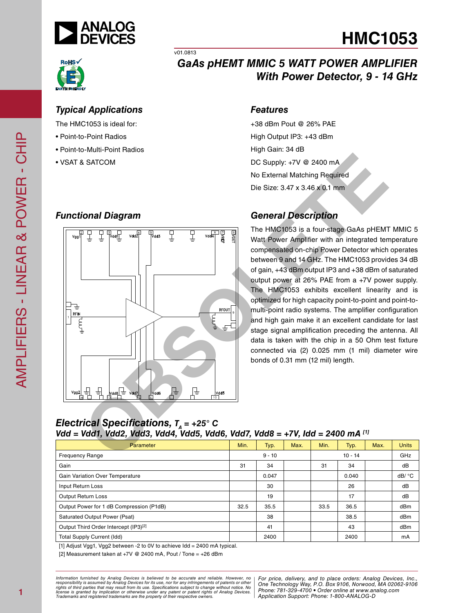



### v01.0813 *GaAs pHEMT MMIC 5 WATT POWER AMPLIFIER With Power Detector, 9 - 14 GHz*

*Features*

High Gain: 34 dB

**HMC1053**

#### *Typical Applications*

The HMC1053 is ideal for:

- Point-to-Point Radios
- Point-to-Multi-Point Radios
- VSAT & SATCOM

### *Functional Diagram*



### *General Description*

+38 dBm Pout @ 26% PAE High Output IP3: +43 dBm

DC Supply: +7V @ 2400 mA No External Matching Required Die Size: 3.47 x 3.46 x 0.1 mm

The HMC1053 is a four-stage GaAs pHEMT MMIC 5 Watt Power Amplifier with an integrated temperature compensated on-chip Power Detector which operates between 9 and 14 GHz. The HMC1053 provides 34 dB of gain, +43 dBm output IP3 and +38 dBm of saturated output power at 26% PAE from a +7V power supply. The HMC1053 exhibits excellent linearity and is optimized for high capacity point-to-point and point-tomulti-point radio systems. The amplifier configuration and high gain make it an excellent candidate for last stage signal amplification preceding the antenna. All data is taken with the chip in a 50 Ohm test fixture connected via (2) 0.025 mm (1 mil) diameter wire bonds of 0.31 mm (12 mil) length.

#### *Electrical Specifications, T<sub>n</sub> = +25° C Vdd = Vdd1, Vdd2, Vdd3, Vdd4, Vdd5, Vdd6, Vdd7, Vdd8 = +7V, Idd = 2400 mA [1]*

| Parameter                                | Min.     | Typ.  | Max.      | Min. | Typ.  | Max. | <b>Units</b> |
|------------------------------------------|----------|-------|-----------|------|-------|------|--------------|
| <b>Frequency Range</b>                   | $9 - 10$ |       | $10 - 14$ |      | GHz   |      |              |
| Gain                                     | 31       | 34    |           | 31   | 34    |      | dB           |
| Gain Variation Over Temperature          |          | 0.047 |           |      | 0.040 |      | dB/ °C       |
| Input Return Loss                        |          | 30    |           |      | 26    |      | dB           |
| Output Return Loss                       |          | 19    |           |      | 17    |      | dB           |
| Output Power for 1 dB Compression (P1dB) | 32.5     | 35.5  |           | 33.5 | 36.5  |      | dBm          |
| Saturated Output Power (Psat)            |          | 38    |           |      | 38.5  |      | dBm          |
| Output Third Order Intercept (IP3)[2]    |          | 41    |           |      | 43    |      | dBm          |
| <b>Total Supply Current (Idd)</b>        |          | 2400  |           |      | 2400  |      | mA           |

[1] Adjust Vgg1, Vgg2 between -2 to 0V to achieve Idd = 2400 mA typical.

[2] Measurement taken at +7V @ 2400 mA, Pout / Tone = +26 dBm

*Formation iurnished by Analog Devices is believed to be accurate and reliable. However, no Hor price, delivery, and to place orders: Analog Devices, In<br>roonsibility is assumed by Analog Devices for its use, nor for any pressult from its use. Specifications subject to change without notice. No*<br>ation or otherwise under any patent or patent rights of Analog Devices Phone: 781-329-4700 • Order online at ww *e* the property of their respective owners. **Application Support: Phone: 1-8** *Information furnished by Analog Devices is believed to be accurate and reliable. However, no*  responsibility is assumed by Analog Devices for its use, nor for any infringements of patents or other<br>rights of third parties that may result from its use. Specifications subject to change without notice. No<br>license is gr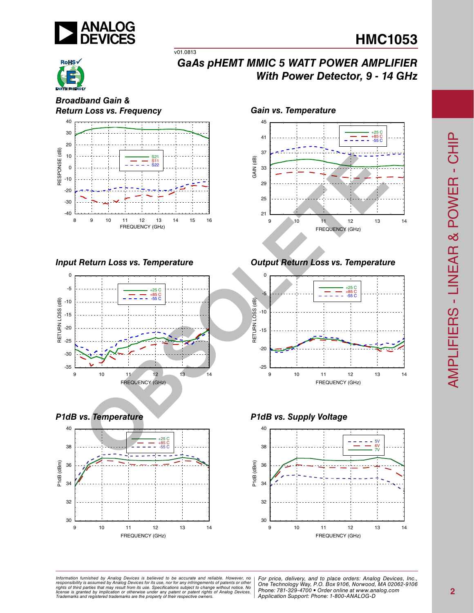

# **HMC1053**



### *GaAs pHEMT MMIC 5 WATT POWER AMPLIFIER With Power Detector, 9 - 14 GHz*

*Broadband Gain & Return Loss vs. Frequency Gain vs. Temperature*



v01.0813







*Input Return Loss vs. Temperature Output Return Loss vs. Temperature*



*P1dB vs. Temperature P1dB vs. Supply Voltage*



ormation furnished by Analog Devices is believed to be accurate and reliable. However, no | For price, delivery, and to place orders: Analog Devices, Inc.,<br>popsibility is assumed by Analog Devices for its use, not for any *pressult from its use. Specifications subject to change without notice. No*<br>ation or otherwise under any patent or patent rights of Analog Devices Phone: 781-329-4700 • Order online at ww *e* the property of their respective owners. **Application Support: Phone: 1-8** *Information furnished by Analog Devices is believed to be accurate and reliable. However, no*  responsibility is assumed by Analog Devices for its use, nor for any infringements of patents or other<br>rights of third parties that may result from its use. Specifications subject to change without notice. No<br>license is gr

*Phone: 781-329-4700 • Order online at www.analog.com Application Support: Phone: 1-800-ANALOG-D*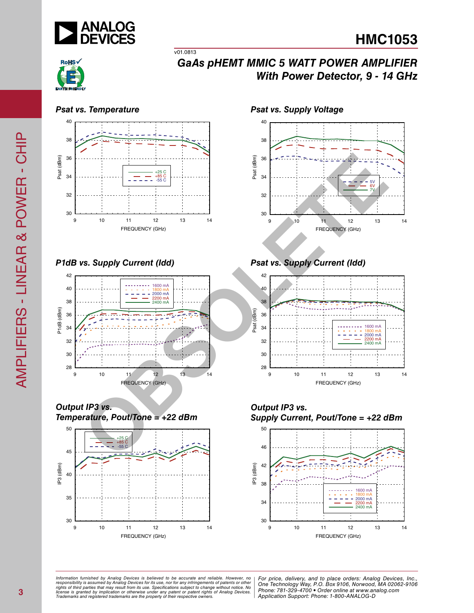



## *GaAs pHEMT MMIC 5 WATT POWER AMPLIFIER With Power Detector, 9 - 14 GHz*

40



v01.0813

*P1dB vs. Supply Current (Idd) Psat vs. Supply Current (Idd)*



*Output IP3 vs. Temperature, Pout/Tone = +22 dBm*



*Psat vs. Temperature Psat vs. Supply Voltage*









ormation furnished by Analog Devices is believed to be accurate and reliable. However, no | For price, delivery, and to place orders: Analog Devices, Inc.,<br>popsibility is assumed by Analog Devices for its use, not for any *pressult from its use. Specifications subject to change without notice. No*<br>ation or otherwise under any patent or patent rights of Analog Devices Phone: 781-329-4700 • Order online at ww *e* the property of their respective owners. **Application Support: Phone: 1-8** *Information furnished by Analog Devices is believed to be accurate and reliable. However, no*  responsibility is assumed by Analog Devices for its use, nor for any infringements of patents or other<br>rights of third parties that may result from its use. Specifications subject to change without notice. No<br>license is gr

*Phone: 781-329-4700 • Order online at www.analog.com Application Support: Phone: 1-800-ANALOG-D*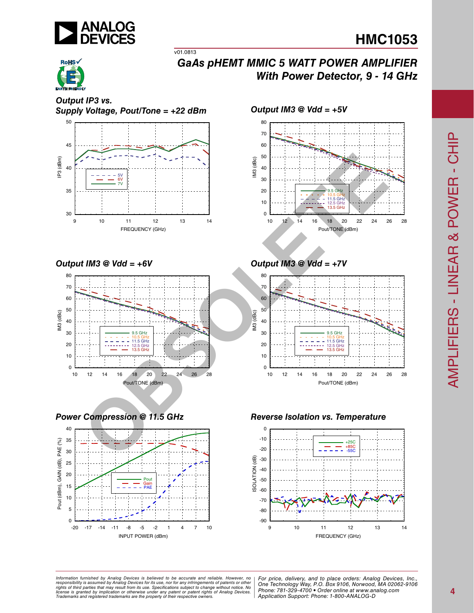

# **HMC1053**



### *GaAs pHEMT MMIC 5 WATT POWER AMPLIFIER With Power Detector, 9 - 14 GHz*

*Output IP3 vs. Supply Voltage, Pout/Tone = +22 dBm*



v01.0813

*Output IM3 @ Vdd = +6V Output IM3 @ Vdd = +7V*











*Power Compression @ 11.5 GHz Reverse Isolation vs. Temperature*



*Formation iurnished by Analog Devices is believed to be accurate and reliable. However, no Hor price, delivery, and to place orders: Analog Devices, In<br>roonsibility is assumed by Analog Devices for its use, nor for any pressult from its use. Specifications subject to change without notice. No*<br>ation or otherwise under any patent or patent rights of Analog Devices Phone: 781-329-4700 • Order online at ww *e* the property of their respective owners. **Application Support: Phone: 1-8** *Information furnished by Analog Devices is believed to be accurate and reliable. However, no*  responsibility is assumed by Analog Devices for its use, nor for any infringements of patents or other<br>rights of third parties that may result from its use. Specifications subject to change without notice. No<br>license is gr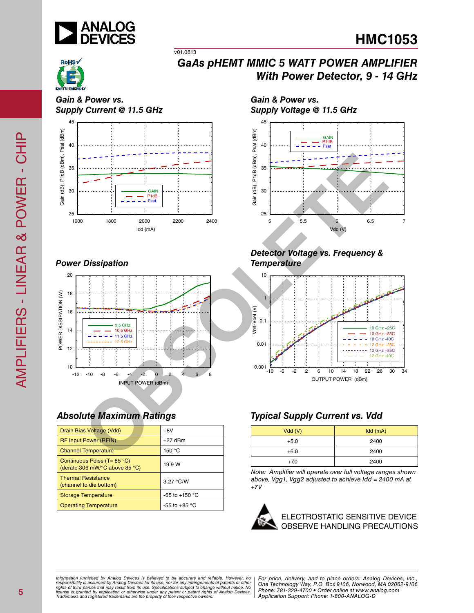



## *GaAs pHEMT MMIC 5 WATT POWER AMPLIFIER With Power Detector, 9 - 14 GHz*

*Gain & Power vs. Supply Current @ 11.5 GHz*



v01.0813

### *Power Dissipation*



### *Absolute Maximum Ratings*

| Drain Bias Voltage (Vdd)                                                             | $+8V$                  |
|--------------------------------------------------------------------------------------|------------------------|
| <b>RF Input Power (RFIN)</b>                                                         | $+27$ dBm              |
| <b>Channel Temperature</b>                                                           | 150 °C                 |
| Continuous Pdiss ( $T = 85$ °C)<br>(derate 306 mW/ $\degree$ C above 85 $\degree$ C) | 19.9 W                 |
| <b>Thermal Resistance</b><br>(channel to die bottom)                                 | 3.27 °C/W              |
| <b>Storage Temperature</b>                                                           | $-65$ to $+150$ °C     |
| <b>Operating Temperature</b>                                                         | -55 to +85 $\degree$ C |

*Gain & Power vs. Supply Voltage @ 11.5 GHz*



#### *Detector Voltage vs. Frequency & Temperature*



### *Typical Supply Current vs. Vdd*

| Vdd(V) | Idd(mA) |  |  |
|--------|---------|--|--|
| $+5.0$ | 2400    |  |  |
| $+6.0$ | 2400    |  |  |
| $+7.0$ | 2400    |  |  |

*Note: Amplifier will operate over full voltage ranges shown above, Vgg1, Vgg2 adjusted to achieve Idd = 2400 mA at +7V*

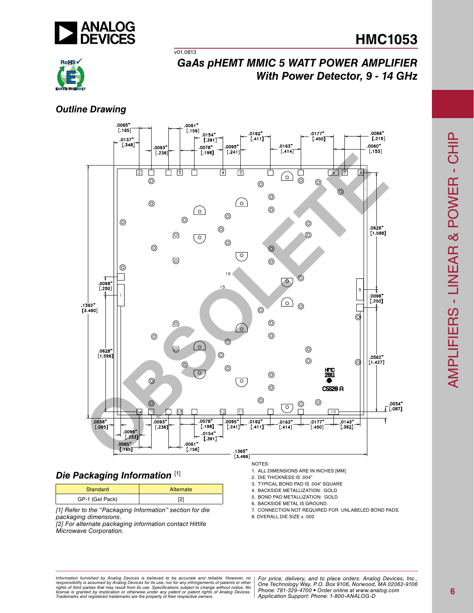

# **HMC1053**



## *GaAs pHEMT MMIC 5 WATT POWER AMPLIFIER With Power Detector, 9 - 14 GHz*

### *Outline Drawing*



### *Die Packaging Information* [1]

| Standard        | Alternate |  |  |
|-----------------|-----------|--|--|
| GP-1 (Gel Pack) | ה'        |  |  |

*[1] Refer to the "Packaging Information" section for die packaging dimensions.*

*[2] For alternate packaging information contact Hittite Microwave Corporation.*

NOTES:

1. ALL DIMENSIONS ARE IN INCHES [MM]

- 2. DIE THICKNESS IS .004"
- 3. TYPICAL BOND PAD IS .004" SQUARE
- 4. BACKSIDE METALLIZATION: GOLD
- 5. BOND PAD METALLIZATION: GOLD
- 6. BACKSIDE METAL IS GROUND.
- 7. CONNECTION NOT REQUIRED FOR UNLABELED BOND PADS.
- 8. Overall die size ± .002

*Formation iurnished by Analog Devices is believed to be accurate and reliable. However, no Hor price, delivery, and to place orders: Analog Devices, In<br>roonsibility is assumed by Analog Devices for its use, nor for any pressult from its use. Specifications subject to change without notice. No*<br>ation or otherwise under any patent or patent rights of Analog Devices Phone: 781-329-4700 • Order online at ww *e* the property of their respective owners. **Application Support: Phone: 1-8** *Information furnished by Analog Devices is believed to be accurate and reliable. However, no*  responsibility is assumed by Analog Devices for its use, nor for any infringements of patents or other<br>rights of third parties that may result from its use. Specifications subject to change without notice. No<br>license is gr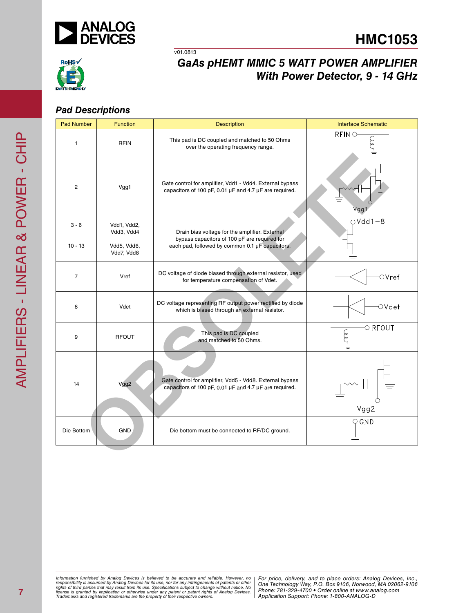



## *GaAs pHEMT MMIC 5 WATT POWER AMPLIFIER With Power Detector, 9 - 14 GHz*

#### *Pad Descriptions*

| <b>Pad Number</b>    | <b>Function</b>                                        | <b>Description</b>                                                                                                                                | <b>Interface Schematic</b> |
|----------------------|--------------------------------------------------------|---------------------------------------------------------------------------------------------------------------------------------------------------|----------------------------|
| $\mathbf{1}$         | <b>RFIN</b>                                            | This pad is DC coupled and matched to 50 Ohms<br>over the operating frequency range.                                                              | <b>RFINO</b>               |
| 2                    | Vgg1                                                   | Gate control for amplifier, Vdd1 - Vdd4. External bypass<br>capacitors of 100 pF, 0.01 µF and 4.7 µF are required.                                | Vgg                        |
| $3 - 6$<br>$10 - 13$ | Vdd1, Vdd2,<br>Vdd3, Vdd4<br>Vdd5, Vdd6,<br>Vdd7, Vdd8 | Drain bias voltage for the amplifier. External<br>bypass capacitors of 100 pF are required for<br>each pad, followed by common 0.1 µF capacitors. | $OVdd1-8$                  |
| $\overline{7}$       | Vref                                                   | DC voltage of diode biased through external resistor, used<br>for temperature compensation of Vdet.                                               | $\circ$ Vref               |
| 8                    | Vdet                                                   | DC voltage representing RF output power rectified by diode<br>which is biased through an external resistor.                                       | ○Vdet                      |
| 9                    | <b>RFOUT</b>                                           | This pad is DC coupled<br>and matched to 50 Ohms.                                                                                                 | $\circ$ RFOUT              |
| 14                   | Vgg2                                                   | Gate control for amplifier, Vdd5 - Vdd8. External bypass<br>capacitors of 100 pF, 0.01 µF and 4.7 µF are required.                                | Vgg2                       |
| Die Bottom           | <b>GND</b>                                             | Die bottom must be connected to RF/DC ground.                                                                                                     | $\bigcirc$ GND             |
|                      |                                                        |                                                                                                                                                   |                            |

*Formation iurnished by Analog Devices is believed to be accurate and reliable. However, no Hor price, delivery, and to place orders: Analog Devices, In<br>roonsibility is assumed by Analog Devices for its use, nor for any pressult from its use. Specifications subject to change without notice. No*<br>ation or otherwise under any patent or patent rights of Analog Devices Phone: 781-329-4700 • Order online at ww *e* the property of their respective owners. **Application Support: Phone: 1-8** Information furnished by Analog Devices is believed to be accurate and reliable. However, no<br>responsibility is assumed by Analog Devices for its use, nor for any infringements of patents or other<br>rights of third parties th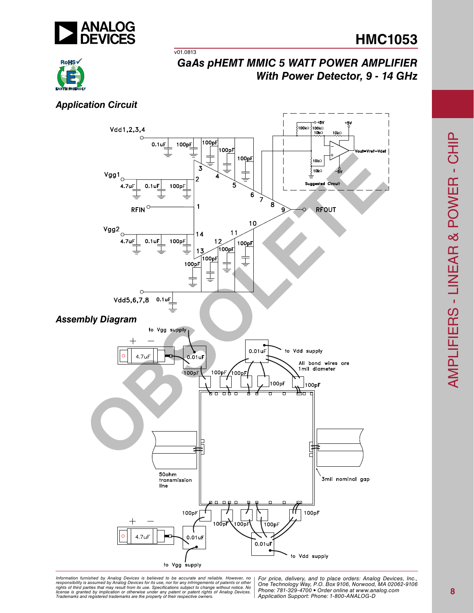

# **HMC1053**



## *GaAs pHEMT MMIC 5 WATT POWER AMPLIFIER With Power Detector, 9 - 14 GHz*

#### *Application Circuit*



ormation furnished by Analog Devices is believed to be accurate and reliable. However, no | For price, delivery, and to place orders: Analog Devices, Inc.,<br>hponsibility is assumed by Analog Devices for its use, nor for any *pressult from its use. Specifications subject to change without notice. No*<br>ation or otherwise under any patent or patent rights of Analog Devices Phone: 781-329-4700 • Order online at ww *e* the property of their respective owners. **Application Support: Phone: 1-8** *Information furnished by Analog Devices is believed to be accurate and reliable. However, no*  responsibility is assumed by Analog Devices for its use, nor for any infringements of patents or other<br>rights of third parties that may result from its use. Specifications subject to change without notice. No<br>license is gr

*Application Support: Phone: 1-800-ANALOG-D*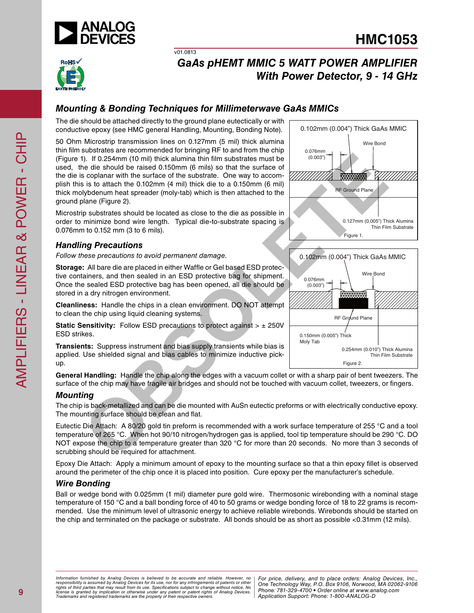



## *GaAs pHEMT MMIC 5 WATT POWER AMPLIFIER With Power Detector, 9 - 14 GHz*

### *Mounting & Bonding Techniques for Millimeterwave GaAs MMICs*

v01.0813

The die should be attached directly to the ground plane eutectically or with conductive epoxy (see HMC general Handling, Mounting, Bonding Note).

50 Ohm Microstrip transmission lines on 0.127mm (5 mil) thick alumina thin film substrates are recommended for bringing RF to and from the chip (Figure 1). If 0.254mm (10 mil) thick alumina thin film substrates must be used, the die should be raised 0.150mm (6 mils) so that the surface of the die is coplanar with the surface of the substrate. One way to accomplish this is to attach the 0.102mm (4 mil) thick die to a 0.150mm (6 mil) thick molybdenum heat spreader (moly-tab) which is then attached to the ground plane (Figure 2).

Microstrip substrates should be located as close to the die as possible in order to minimize bond wire length. Typical die-to-substrate spacing is 0.076mm to 0.152 mm (3 to 6 mils).

#### *Handling Precautions*

*Follow these precautions to avoid permanent damage.*

**Storage:** All bare die are placed in either Waffle or Gel based ESD protective containers, and then sealed in an ESD protective bag for shipment. Once the sealed ESD protective bag has been opened, all die should be stored in a dry nitrogen environment.

**Cleanliness:** Handle the chips in a clean environment. DO NOT attempt to clean the chip using liquid cleaning systems.

**Static Sensitivity:** Follow ESD precautions to protect against  $> \pm 250V$ ESD strikes.

**Transients:** Suppress instrument and bias supply transients while bias is applied. Use shielded signal and bias cables to minimize inductive pickup.

**General Handling:** Handle the chip along the edges with a vacuum collet or with a sharp pair of bent tweezers. The surface of the chip may have fragile air bridges and should not be touched with vacuum collet, tweezers, or fingers.

#### *Mounting*

The chip is back-metallized and can be die mounted with AuSn eutectic preforms or with electrically conductive epoxy. The mounting surface should be clean and flat.

Eutectic Die Attach: A 80/20 gold tin preform is recommended with a work surface temperature of 255 °C and a tool temperature of 265 °C. When hot 90/10 nitrogen/hydrogen gas is applied, tool tip temperature should be 290 °C. DO NOT expose the chip to a temperature greater than 320 °C for more than 20 seconds. No more than 3 seconds of scrubbing should be required for attachment.

Epoxy Die Attach: Apply a minimum amount of epoxy to the mounting surface so that a thin epoxy fillet is observed around the perimeter of the chip once it is placed into position. Cure epoxy per the manufacturer's schedule.

#### *Wire Bonding*

Ball or wedge bond with 0.025mm (1 mil) diameter pure gold wire. Thermosonic wirebonding with a nominal stage temperature of 150 °C and a ball bonding force of 40 to 50 grams or wedge bonding force of 18 to 22 grams is recommended. Use the minimum level of ultrasonic energy to achieve reliable wirebonds. Wirebonds should be started on the chip and terminated on the package or substrate. All bonds should be as short as possible <0.31mm (12 mils).



RF Ground Plane 0.254mm (0.010") Thick Alumina Thin Film Substrate Figure 2. 0.150mm (0.005") Thick Moly Tab